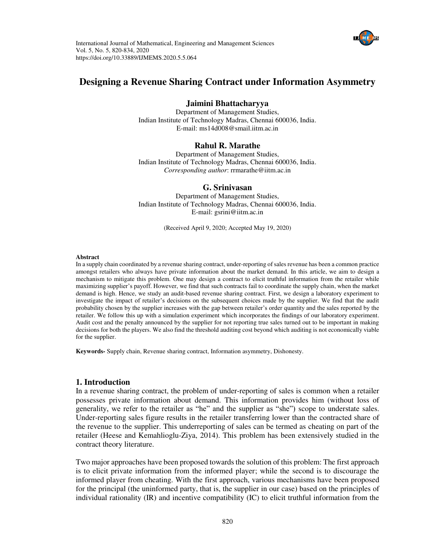



# **Designing a Revenue Sharing Contract under Information Asymmetry**

### **Jaimini Bhattacharyya**

Department of Management Studies, Indian Institute of Technology Madras, Chennai 600036, India. E-mail: [ms14d008@smail.iitm.ac.in](mailto:ms14d008@smail.iitm.ac.in) 

## **Rahul R. Marathe**

Department of Management Studies, Indian Institute of Technology Madras, Chennai 600036, India. *Corresponding author*[: rrmarathe@iitm.ac.in](mailto:rrmarathe@iitm.ac.in) 

#### **G. Srinivasan**

Department of Management Studies, Indian Institute of Technology Madras, Chennai 600036, India. E-mail: [gsrini@iitm.ac.in](mailto:gsrini@iitm.ac.in) 

(Received April 9, 2020; Accepted May 19, 2020)

#### **Abstract**

In a supply chain coordinated by a revenue sharing contract, under-reporting ofsales revenue has been a common practice amongst retailers who always have private information about the market demand. In this article, we aim to design a mechanism to mitigate this problem. One may design a contract to elicit truthful information from the retailer while maximizing supplier's payoff. However, we find that such contracts fail to coordinate the supply chain, when the market demand is high. Hence, we study an audit-based revenue sharing contract. First, we design a laboratory experiment to investigate the impact of retailer's decisions on the subsequent choices made by the supplier. We find that the audit probability chosen by the supplier increases with the gap between retailer's order quantity and the sales reported by the retailer. We follow this up with a simulation experiment which incorporates the findings of our laboratory experiment. Audit cost and the penalty announced by the supplier for not reporting true sales turned out to be important in making decisions for both the players. We also find the threshold auditing cost beyond which auditing is not economically viable for the supplier.

**Keywords-** Supply chain, Revenue sharing contract, Information asymmetry, Dishonesty.

### **1. Introduction**

In a revenue sharing contract, the problem of under-reporting of sales is common when a retailer possesses private information about demand. This information provides him (without loss of generality, we refer to the retailer as "he" and the supplier as "she") scope to understate sales. Under-reporting sales figure results in the retailer transferring lower than the contracted share of the revenue to the supplier. This underreporting of sales can be termed as cheating on part of the retailer (Heese and Kemahlioglu-Ziya, 2014). This problem has been extensively studied in the contract theory literature.

Two major approaches have been proposed towards the solution of this problem: The first approach is to elicit private information from the informed player; while the second is to discourage the informed player from cheating. With the first approach, various mechanisms have been proposed for the principal (the uninformed party, that is, the supplier in our case) based on the principles of individual rationality (IR) and incentive compatibility (IC) to elicit truthful information from the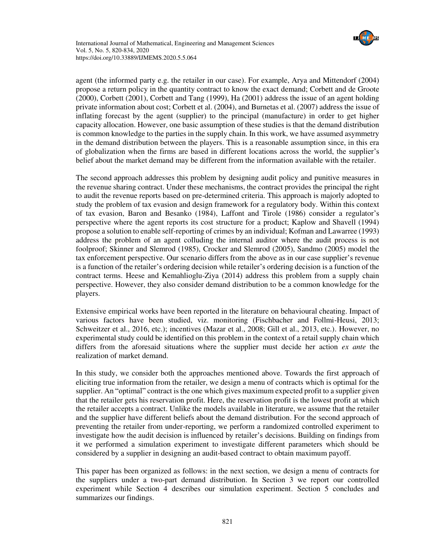

agent (the informed party e.g. the retailer in our case). For example, Arya and Mittendorf (2004) propose a return policy in the quantity contract to know the exact demand; Corbett and de Groote (2000), Corbett (2001), Corbett and Tang (1999), Ha (2001) address the issue of an agent holding private information about cost; Corbett et al. (2004), and Burnetas et al. (2007) address the issue of inflating forecast by the agent (supplier) to the principal (manufacture) in order to get higher capacity allocation. However, one basic assumption of these studies is that the demand distribution is common knowledge to the parties in the supply chain. In this work, we have assumed asymmetry in the demand distribution between the players. This is a reasonable assumption since, in this era of globalization when the firms are based in different locations across the world, the supplier's belief about the market demand may be different from the information available with the retailer.

The second approach addresses this problem by designing audit policy and punitive measures in the revenue sharing contract. Under these mechanisms, the contract provides the principal the right to audit the revenue reports based on pre-determined criteria. This approach is majorly adopted to study the problem of tax evasion and design framework for a regulatory body. Within this context of tax evasion, Baron and Besanko (1984), Laffont and Tirole (1986) consider a regulator's perspective where the agent reports its cost structure for a product; Kaplow and Shavell (1994) propose a solution to enable self-reporting of crimes by an individual; Kofman and Lawarree (1993) address the problem of an agent colluding the internal auditor where the audit process is not foolproof; Skinner and Slemrod (1985), Crocker and Slemrod (2005), Sandmo (2005) model the tax enforcement perspective. Our scenario differs from the above as in our case supplier's revenue is a function of the retailer's ordering decision while retailer's ordering decision is a function of the contract terms. Heese and Kemahlioglu-Ziya (2014) address this problem from a supply chain perspective. However, they also consider demand distribution to be a common knowledge for the players.

Extensive empirical works have been reported in the literature on behavioural cheating. Impact of various factors have been studied, viz. monitoring (Fischbacher and Follmi-Heusi, 2013; Schweitzer et al., 2016, etc.); incentives (Mazar et al., 2008; Gill et al., 2013, etc.). However, no experimental study could be identified on this problem in the context of a retail supply chain which differs from the aforesaid situations where the supplier must decide her action *ex ante* the realization of market demand.

In this study, we consider both the approaches mentioned above. Towards the first approach of eliciting true information from the retailer, we design a menu of contracts which is optimal for the supplier. An "optimal" contract is the one which gives maximum expected profit to a supplier given that the retailer gets his reservation profit. Here, the reservation profit is the lowest profit at which the retailer accepts a contract. Unlike the models available in literature, we assume that the retailer and the supplier have different beliefs about the demand distribution. For the second approach of preventing the retailer from under-reporting, we perform a randomized controlled experiment to investigate how the audit decision is influenced by retailer's decisions. Building on findings from it we performed a simulation experiment to investigate different parameters which should be considered by a supplier in designing an audit-based contract to obtain maximum payoff.

This paper has been organized as follows: in the next section, we design a menu of contracts for the suppliers under a two-part demand distribution. In Section 3 we report our controlled experiment while Section 4 describes our simulation experiment. Section 5 concludes and summarizes our findings.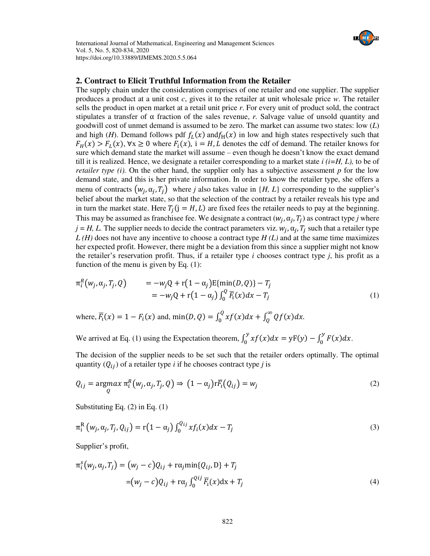

### **2. Contract to Elicit Truthful Information from the Retailer**

The supply chain under the consideration comprises of one retailer and one supplier. The supplier produces a product at a unit cost *c*, gives it to the retailer at unit wholesale price *w*. The retailer sells the product in open market at a retail unit price *r*. For every unit of product sold, the contract stipulates a transfer of  $\alpha$  fraction of the sales revenue, *r*. Salvage value of unsold quantity and goodwill cost of unmet demand is assumed to be zero. The market can assume two states: low (*L*) and high (*H*). Demand follows pdf  $f_L(x)$  and  $f_H(x)$  in low and high states respectively such that  $F_H(x) > F_L(x)$ ,  $\forall x \ge 0$  where  $F_i(x)$ ,  $i = H, L$  denotes the cdf of demand. The retailer knows for sure which demand state the market will assume – even though he doesn't know the exact demand till it is realized. Hence, we designate a retailer corresponding to a market state  $i$  ( $i=H, L$ ), to be of *retailer type (i).* On the other hand, the supplier only has a subjective assessment  $p$  for the low demand state, and this is her private information. In order to know the retailer type, she offers a menu of contracts  $(w_j, \alpha_j, T_j)$  where *j* also takes value in  $\{H, L\}$  corresponding to the supplier's belief about the market state, so that the selection of the contract by a retailer reveals his type and in turn the market state. Here  $T_j$  ( $j = H, L$ ) are fixed fees the retailer needs to pay at the beginning. This may be assumed as franchisee fee. We designate a contract  $(w_j, \alpha_j, T_j)$  as contract type *j* where  $j = H, L$ . The supplier needs to decide the contract parameters viz.  $w_j, \alpha_j, T_j$  such that a retailer type *L (H)* does not have any incentive to choose a contract type *H (L)* and at the same time maximizes her expected profit. However, there might be a deviation from this since a supplier might not know the retailer's reservation profit. Thus, if a retailer type *i* chooses contract type *j*, his profit as a function of the menu is given by Eq. (1):

$$
\pi_i^R(w_j, \alpha_j, T_j, Q) = -w_j Q + r(1 - \alpha_j) E\{\min(D, Q)\} - T_j \n= -w_j Q + r(1 - \alpha_j) \int_0^Q \overline{F}_i(x) dx - T_j
$$
\n(1)

where,  $\overline{F}_i(x) = 1 - F_i(x)$  and,  $\min(D, Q) = \int_0^Q x f(x) dx + \int_Q^{\infty} Qf(x) dx$ . Q

We arrived at Eq. (1) using the Expectation theorem,  $\int_0^y x f(x) dx = yF(y) - \int_0^y F(x) dx$ .

The decision of the supplier needs to be set such that the retailer orders optimally. The optimal quantity  $(Q_{ij})$  of a retailer type *i* if he chooses contract type *j* is

$$
Q_{ij} = \underset{Q}{\text{argmax}} \pi_i^R(w_j, \alpha_j, T_j, Q) \Rightarrow (1 - \alpha_j) r \overline{F}_i(Q_{ij}) = w_j
$$
\n(2)

Substituting Eq. (2) in Eq. (1)

$$
\pi_{i}^{R}\left(w_{j}, \alpha_{j}, T_{j}, Q_{ij}\right) = r\left(1 - \alpha_{j}\right) \int_{0}^{Q_{ij}} x f_{i}(x) dx - T_{j} \tag{3}
$$

Supplier's profit,

$$
\pi_i^s(w_j, \alpha_j, T_j) = (w_j - c)Q_{ij} + r\alpha_j \min\{Q_{ij}, D\} + T_j
$$
  
=  $(w_j - c)Q_{ij} + r\alpha_j \int_0^{Qij} \overline{F}_i(x)dx + T_j$  (4)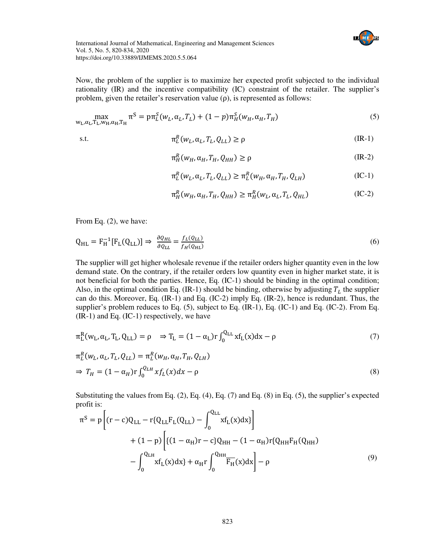

Now, the problem of the supplier is to maximize her expected profit subjected to the individual rationality (IR) and the incentive compatibility (IC) constraint of the retailer. The supplier's problem, given the retailer's reservation value  $(\rho)$ , is represented as follows:

$$
\max_{\mathbf{w}_L, \alpha_L, \mathbf{T}_L, \mathbf{w}_H, \alpha_H, \mathbf{T}_H} \pi^S = \mathbf{p} \pi_L^S(w_L, \alpha_L, T_L) + (1 - p) \pi_H^S(w_H, \alpha_H, T_H)
$$
(5)

$$
\pi_L^R(w_L, \alpha_L, T_L, Q_{LL}) \ge \rho \tag{IR-1}
$$

$$
\pi_H^R(w_H, \alpha_H, T_H, Q_{HH}) \ge \rho \tag{IR-2}
$$

$$
\pi_L^R(w_L, \alpha_L, T_L, Q_{LL}) \ge \pi_L^R(w_H, \alpha_H, T_H, Q_{LH})
$$
\n(IC-1)

$$
\pi_H^R(w_H, \alpha_H, T_H, Q_{HH}) \ge \pi_H^R(w_L, \alpha_L, T_L, Q_{HL})
$$
\n(IC-2)

From Eq. (2), we have:

$$
Q_{HL} = F_H^{-1}[F_L(Q_{LL})] \Rightarrow \frac{\partial Q_{HL}}{\partial Q_{LL}} = \frac{f_L(Q_{LL})}{f_H(Q_{HL})}
$$
\n(6)

The supplier will get higher wholesale revenue if the retailer orders higher quantity even in the low demand state. On the contrary, if the retailer orders low quantity even in higher market state, it is not beneficial for both the parties. Hence, Eq. (IC-1) should be binding in the optimal condition; Also, in the optimal condition Eq. (IR-1) should be binding, otherwise by adjusting  $T_L$  the supplier can do this. Moreover, Eq. (IR-1) and Eq. (IC-2) imply Eq. (IR-2), hence is redundant. Thus, the supplier's problem reduces to Eq. (5), subject to Eq. (IR-1), Eq. (IC-1) and Eq. (IC-2). From Eq.  $(R-1)$  and Eq. (IC-1) respectively, we have

$$
\pi_L^R(w_L, \alpha_L, T_L, Q_{LL}) = \rho \quad \Rightarrow T_L = (1 - \alpha_L) r \int_0^{Q_{LL}} x f_L(x) dx - \rho \tag{7}
$$

$$
\pi_L^R(w_L, \alpha_L, T_L, Q_{LL}) = \pi_L^R(w_H, \alpha_H, T_H, Q_{LH})
$$
\n
$$
\Rightarrow T_H = (1 - \alpha_H) r \int_0^{Q_{LH}} x f_L(x) dx - \rho
$$
\n(8)

Substituting the values from Eq. (2), Eq. (4), Eq. (7) and Eq. (8) in Eq. (5), the supplier's expected profit is:  $\overline{a}$  $\overline{a}$ 

$$
\pi^{S} = p \left[ (r - c)Q_{LL} - r \{Q_{LL}F_{L}(Q_{LL}) - \int_{0}^{Q_{LL}} x f_{L}(x)dx \} \right]
$$
  
+ 
$$
(1 - p) \left[ \{ (1 - \alpha_{H})r - c \} Q_{HH} - (1 - \alpha_{H})r \{Q_{HH}F_{H}(Q_{HH}) - \int_{0}^{Q_{LH}} x f_{L}(x)dx \} + \alpha_{H}r \int_{0}^{Q_{HH}} \overline{F_{H}}(x)dx \right] - \rho
$$
 (9)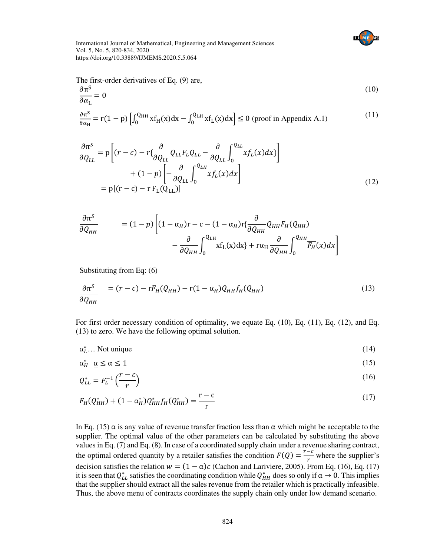

The first-order derivatives of Eq. (9) are,

$$
\frac{\partial \pi^S}{\partial \alpha_L} = 0 \tag{10}
$$

$$
\frac{\partial \pi^S}{\partial \alpha_H} = r(1 - p) \left[ \int_0^{Q_{HH}} x f_H(x) dx - \int_0^{Q_{LH}} x f_L(x) dx \right] \le 0 \text{ (proof in Appendix A.1)}
$$
\n(11)

$$
\frac{\partial \pi^S}{\partial Q_{LL}} = p \left[ (r - c) - r \{ \frac{\partial}{\partial Q_{LL}} Q_{LL} F_L Q_{LL} - \frac{\partial}{\partial Q_{LL}} \int_0^{Q_{LL}} x f_L(x) dx \} \right] \n+ (1 - p) \left[ - \frac{\partial}{\partial Q_{LL}} \int_0^{Q_{LL}} x f_L(x) dx \right] \n= p [(r - c) - r F_L(Q_{LL})]
$$
\n(12)

$$
\frac{\partial \pi^{S}}{\partial Q_{HH}} = (1-p) \left[ (1-\alpha_{H})r - c - (1-\alpha_{H})r \left\{ \frac{\partial}{\partial Q_{HH}} Q_{HH} F_{H}(Q_{HH}) - \frac{\partial}{\partial Q_{HH}} \int_{0}^{Q_{LH}} x f_{L}(x) dx \right\} + r \alpha_{H} \frac{\partial}{\partial Q_{HH}} \int_{0}^{Q_{HH}} \overline{F_{H}}(x) dx \right]
$$

Substituting from Eq: (6)

$$
\frac{\partial \pi^S}{\partial Q_{HH}} = (r - c) - rF_H(Q_{HH}) - r(1 - \alpha_H)Q_{HH}f_H(Q_{HH})
$$
\n(13)

For first order necessary condition of optimality, we equate Eq. (10), Eq. (11), Eq. (12), and Eq. (13) to zero. We have the following optimal solution.

 $\alpha_L^*$ ... Not unique (14)

$$
\alpha_H^* \quad \underline{\alpha} \le \alpha \le 1 \tag{15}
$$

$$
Q_{LL}^* = F_L^{-1} \left(\frac{r - c}{r}\right) \tag{16}
$$

$$
F_H(Q_{HH}^*) + (1 - \alpha_H^*)Q_{HH}^* f_H(Q_{HH}^*) = \frac{r - c}{r}
$$
\n(17)

In Eq. (15)  $\alpha$  is any value of revenue transfer fraction less than  $\alpha$  which might be acceptable to the supplier. The optimal value of the other parameters can be calculated by substituting the above values in Eq. (7) and Eq. (8). In case of a coordinated supply chain under a revenue sharing contract, the optimal ordered quantity by a retailer satisfies the condition  $F(Q) = \frac{r-c}{r}$  $\frac{1}{r}$  where the supplier's decision satisfies the relation  $w = (1 - \alpha)c$  (Cachon and Lariviere, 2005). From Eq. (16), Eq. (17) it is seen that  $Q_{LL}^*$  satisfies the coordinating condition while  $Q_{HH}^*$  does so only if  $\alpha \to 0$ . This implies that the supplier should extract all the sales revenue from the retailer which is practically infeasible. Thus, the above menu of contracts coordinates the supply chain only under low demand scenario.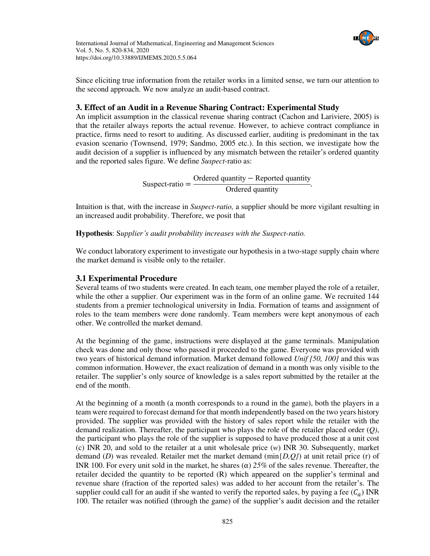

Since eliciting true information from the retailer works in a limited sense, we turn our attention to the second approach. We now analyze an audit-based contract.

## **3. Effect of an Audit in a Revenue Sharing Contract: Experimental Study**

An implicit assumption in the classical revenue sharing contract (Cachon and Lariviere, 2005) is that the retailer always reports the actual revenue. However, to achieve contract compliance in practice, firms need to resort to auditing. As discussed earlier, auditing is predominant in the tax evasion scenario (Townsend, 1979; Sandmo, 2005 etc.). In this section, we investigate how the audit decision of a supplier is influenced by any mismatch between the retailer's ordered quantity and the reported sales figure. We define *Suspect-*ratio as:

> Suspect-ratio = Ordered quantity − Reported quantity Ordered quantity .

Intuition is that, with the increase in *Suspect-ratio,* a supplier should be more vigilant resulting in an increased audit probability. Therefore, we posit that

**Hypothesis**: S*upplier's audit probability increases with the Suspect-ratio.*

We conduct laboratory experiment to investigate our hypothesis in a two-stage supply chain where the market demand is visible only to the retailer.

## **3.1 Experimental Procedure**

Several teams of two students were created. In each team, one member played the role of a retailer, while the other a supplier. Our experiment was in the form of an online game. We recruited 144 students from a premier technological university in India. Formation of teams and assignment of roles to the team members were done randomly. Team members were kept anonymous of each other. We controlled the market demand.

At the beginning of the game, instructions were displayed at the game terminals. Manipulation check was done and only those who passed it proceeded to the game. Everyone was provided with two years of historical demand information. Market demand followed *Unif [50, 100]* and this was common information. However, the exact realization of demand in a month was only visible to the retailer. The supplier's only source of knowledge is a sales report submitted by the retailer at the end of the month.

At the beginning of a month (a month corresponds to a round in the game), both the players in a team were required to forecast demand for that month independently based on the two years history provided. The supplier was provided with the history of sales report while the retailer with the demand realization. Thereafter, the participant who plays the role of the retailer placed order (*Q)*, the participant who plays the role of the supplier is supposed to have produced those at a unit cost (c) INR 20, and sold to the retailer at a unit wholesale price (*w*) INR 30. Subsequently, market demand (*D*) was revealed. Retailer met the market demand (min{*D,Q}*) at unit retail price (r) of INR 100. For every unit sold in the market, he shares (α) *25%* of the sales revenue. Thereafter, the retailer decided the quantity to be reported (R) which appeared on the supplier's terminal and revenue share (fraction of the reported sales) was added to her account from the retailer's. The supplier could call for an audit if she wanted to verify the reported sales, by paying a fee  $(C_a)$  INR 100. The retailer was notified (through the game) of the supplier's audit decision and the retailer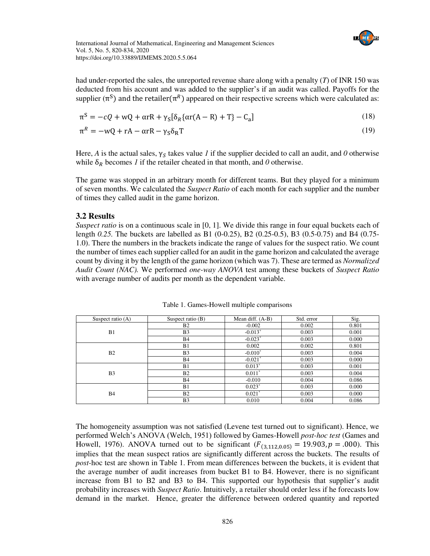

had under-reported the sales, the unreported revenue share along with a penalty (*T*) of INR 150 was deducted from his account and was added to the supplier's if an audit was called. Payoffs for the supplier ( $\pi^S$ ) and the retailer( $\pi^R$ ) appeared on their respective screens which were calculated as:

$$
\pi^{S} = -cQ + wQ + \alpha rR + \gamma_{S}[\delta_{R}\{\alpha r(A - R) + T\} - C_{a}]
$$
\n(18)

$$
\pi^R = -wQ + rA - \alpha rR - \gamma_S \delta_R T \tag{19}
$$

Here, *A* is the actual sales,  $\gamma_s$  takes value *1* if the supplier decided to call an audit, and *0* otherwise while  $\delta_R$  becomes *1* if the retailer cheated in that month, and *0* otherwise.

The game was stopped in an arbitrary month for different teams. But they played for a minimum of seven months. We calculated the *Suspect Ratio* of each month for each supplier and the number of times they called audit in the game horizon.

## **3.2 Results**

*Suspect ratio* is on a continuous scale in [0, 1]. We divide this range in four equal buckets each of length *0.25.* The buckets are labelled as B1 (0-0.25), B2 (0.25-0.5), B3 (0.5-0.75) and B4 (0.75- 1.0). There the numbers in the brackets indicate the range of values for the suspect ratio. We count the number of times each supplier called for an audit in the game horizon and calculated the average count by diving it by the length of the game horizon (which was 7). These are termed as *Normalized Audit Count (NAC).* We performed *one-way ANOVA* test among these buckets of *Suspect Ratio*  with average number of audits per month as the dependent variable.

| Suspect ratio $(A)$ | Suspect ratio $(B)$ | Mean diff. $(A-B)$    | Std. error | Sig.  |
|---------------------|---------------------|-----------------------|------------|-------|
| B1                  | B2                  | $-0.002$              | 0.002      | 0.801 |
|                     | B <sub>3</sub>      | $-0.013*$             | 0.003      | 0.001 |
|                     | <b>B4</b>           | $-0.023$ <sup>*</sup> | 0.003      | 0.000 |
| B <sub>2</sub>      | B1                  | 0.002                 | 0.002      | 0.801 |
|                     | B <sub>3</sub>      | $-0.010*$             | 0.003      | 0.004 |
|                     | <b>B4</b>           | $-0.021$ <sup>*</sup> | 0.003      | 0.000 |
| B <sub>3</sub>      | B <sub>1</sub>      | $0.013*$              | 0.003      | 0.001 |
|                     | B <sub>2</sub>      | $0.011*$              | 0.003      | 0.004 |
|                     | <b>B4</b>           | $-0.010$              | 0.004      | 0.086 |
| <b>B4</b>           | B1                  | $0.023*$              | 0.003      | 0.000 |
|                     | B <sub>2</sub>      | $0.021*$              | 0.003      | 0.000 |
|                     | B <sub>3</sub>      | 0.010                 | 0.004      | 0.086 |

Table 1. Games-Howell multiple comparisons

The homogeneity assumption was not satisfied (Levene test turned out to significant). Hence, we performed Welch's ANOVA (Welch, 1951) followed by Games-Howell *post-hoc test* (Games and Howell, 1976). ANOVA turned out to be significant  $(F_{(3,112,0.05)} = 19.903, p = .000)$ . This implies that the mean suspect ratios are significantly different across the buckets. The results of *post-*hoc test are shown in Table 1. From mean differences between the buckets, it is evident that the average number of audit increases from bucket B1 to B4. However, there is no significant increase from B1 to B2 and B3 to B4. This supported our hypothesis that supplier's audit probability increases with *Suspect Ratio*. Intuitively, a retailer should order less if he forecasts low demand in the market. Hence, greater the difference between ordered quantity and reported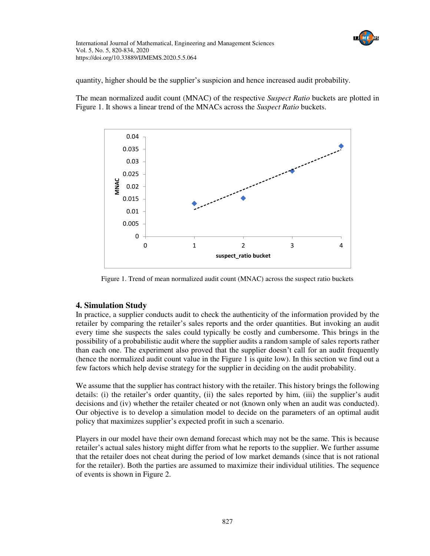

quantity, higher should be the supplier's suspicion and hence increased audit probability.

The mean normalized audit count (MNAC) of the respective *Suspect Ratio* buckets are plotted in Figure 1. It shows a linear trend of the MNACs across the *Suspect Ratio* buckets.



Figure 1. Trend of mean normalized audit count (MNAC) across the suspect ratio buckets

## **4. Simulation Study**

In practice, a supplier conducts audit to check the authenticity of the information provided by the retailer by comparing the retailer's sales reports and the order quantities. But invoking an audit every time she suspects the sales could typically be costly and cumbersome. This brings in the possibility of a probabilistic audit where the supplier audits a random sample of sales reports rather than each one. The experiment also proved that the supplier doesn't call for an audit frequently (hence the normalized audit count value in the Figure 1 is quite low). In this section we find out a few factors which help devise strategy for the supplier in deciding on the audit probability.

We assume that the supplier has contract history with the retailer. This history brings the following details: (i) the retailer's order quantity, (ii) the sales reported by him, (iii) the supplier's audit decisions and (iv) whether the retailer cheated or not (known only when an audit was conducted). Our objective is to develop a simulation model to decide on the parameters of an optimal audit policy that maximizes supplier's expected profit in such a scenario.

Players in our model have their own demand forecast which may not be the same. This is because retailer's actual sales history might differ from what he reports to the supplier. We further assume that the retailer does not cheat during the period of low market demands (since that is not rational for the retailer). Both the parties are assumed to maximize their individual utilities. The sequence of events is shown in Figure 2.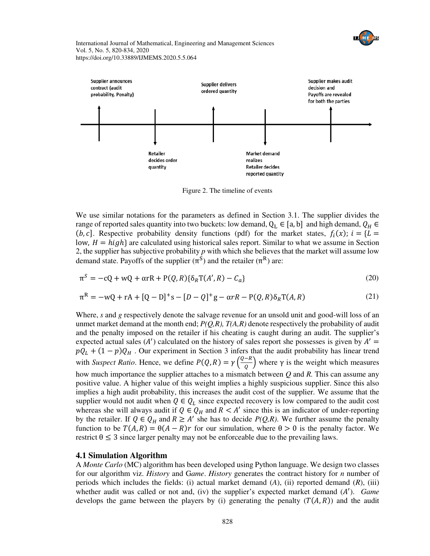



Figure 2. The timeline of events

We use similar notations for the parameters as defined in Section 3.1. The supplier divides the range of reported sales quantity into two buckets: low demand,  $Q_L \in [a, b]$  and high demand,  $Q_H \in$  $(b, c]$ . Respective probability density functions (pdf) for the market states,  $f_i(x)$ ;  $i = \{L =$ low,  $H = high$  are calculated using historical sales report. Similar to what we assume in Section 2, the supplier has subjective probability *p* with which she believes that the market will assume low demand state. Payoffs of the supplier  $(\pi^S)$  and the retailer  $(\pi^R)$  are:

$$
\pi^{S} = -cQ + wQ + \alpha rR + P(Q, R)\{\delta_{R}T(A', R) - C_{a}\}\tag{20}
$$
\n
$$
\pi^{R} = -wQ + rA + [Q - D]^{+}s - [D - Q]^{+}g - \alpha rR - P(Q, R)\delta_{R}T(A, R)\tag{21}
$$

Where, *s* and *g* respectively denote the salvage revenue for an unsold unit and good-will loss of an unmet market demand at the month end;  $P(Q,R)$ ,  $T(A,R)$  denote respectively the probability of audit and the penalty imposed on the retailer if his cheating is caught during an audit. The supplier's expected actual sales  $(A')$  calculated on the history of sales report she possesses is given by  $A' =$  $pQ_L + (1-p)Q_H$ . Our experiment in Section 3 infers that the audit probability has linear trend with *Suspect Ratio*. Hence, we define  $P(Q, R) = \gamma \left(\frac{Q - R}{Q}\right)$  where  $\gamma$  is the weight which measures how much importance the supplier attaches to a mismatch between *Q* and *R.* This can assume any positive value. A higher value of this weight implies a highly suspicious supplier. Since this also implies a high audit probability, this increases the audit cost of the supplier. We assume that the supplier would not audit when  $Q \in Q_L$  since expected recovery is low compared to the audit cost whereas she will always audit if  $Q \in Q_H$  and  $R < A'$  since this is an indicator of under-reporting by the retailer. If  $Q \in Q_H$  and  $R \geq A'$  she has to decide  $P(Q,R)$ . We further assume the penalty function to be  $T(A, R) = \theta(A - R)r$  for our simulation, where  $\theta > 0$  is the penalty factor. We restrict  $\theta \leq 3$  since larger penalty may not be enforceable due to the prevailing laws.

### **4.1 Simulation Algorithm**

A *Monte Carlo* (MC) algorithm has been developed using Python language. We design two classes for our algorithm viz. *History* and G*ame*. *History* generates the contract history for *n* number of periods which includes the fields: (i) actual market demand (*A*), (ii) reported demand (*R*), (iii) whether audit was called or not and, (iv) the supplier's expected market demand (A'). *Game* develops the game between the players by (i) generating the penalty  $(T(A, R))$  and the audit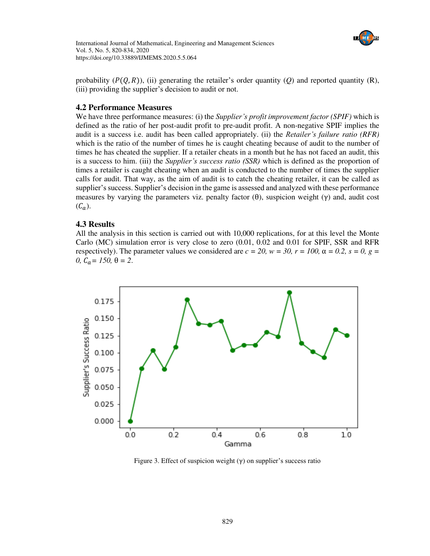

probability  $(P(Q, R))$ , (ii) generating the retailer's order quantity  $(Q)$  and reported quantity  $(R)$ , (iii) providing the supplier's decision to audit or not.

## **4.2 Performance Measures**

We have three performance measures: (i) the *Supplier's profit improvement factor (SPIF)* which is defined as the ratio of her post-audit profit to pre-audit profit. A non-negative SPIF implies the audit is a success i.e. audit has been called appropriately. (ii) the *Retailer's failure ratio (RFR)* which is the ratio of the number of times he is caught cheating because of audit to the number of times he has cheated the supplier. If a retailer cheats in a month but he has not faced an audit, this is a success to him. (iii) the *Supplier's success ratio (SSR)* which is defined as the proportion of times a retailer is caught cheating when an audit is conducted to the number of times the supplier calls for audit. That way, as the aim of audit is to catch the cheating retailer, it can be called as supplier's success. Supplier's decision in the game is assessed and analyzed with these performance measures by varying the parameters viz. penalty factor  $(\theta)$ , suspicion weight  $(\gamma)$  and, audit cost  $(C_a)$ .

## **4.3 Results**

All the analysis in this section is carried out with 10,000 replications, for at this level the Monte Carlo (MC) simulation error is very close to zero (0.01, 0.02 and 0.01 for SPIF, SSR and RFR respectively). The parameter values we considered are  $c = 20$ ,  $w = 30$ ,  $r = 100$ ,  $\alpha = 0.2$ ,  $s = 0$ ,  $g =$ *θ*,  $C<sub>0</sub> = 150$ , θ = 2.



Figure 3. Effect of suspicion weight  $(y)$  on supplier's success ratio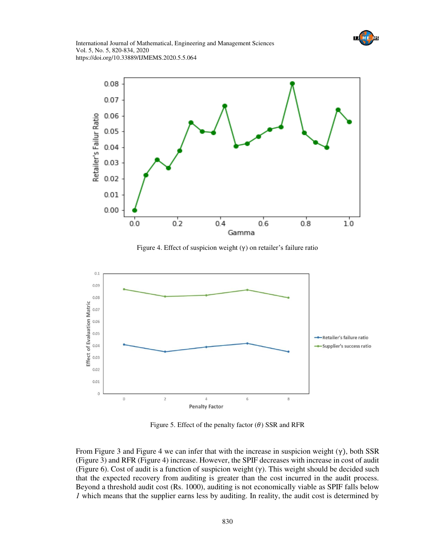



Figure 4. Effect of suspicion weight (γ) on retailer's failure ratio



Figure 5. Effect of the penalty factor  $(\theta)$  SSR and RFR

From Figure 3 and Figure 4 we can infer that with the increase in suspicion weight  $(\gamma)$ , both SSR (Figure 3) and RFR (Figure 4) increase. However, the SPIF decreases with increase in cost of audit (Figure 6). Cost of audit is a function of suspicion weight  $(\gamma)$ . This weight should be decided such that the expected recovery from auditing is greater than the cost incurred in the audit process. Beyond a threshold audit cost (Rs. 1000), auditing is not economically viable as SPIF falls below *1* which means that the supplier earns less by auditing. In reality, the audit cost is determined by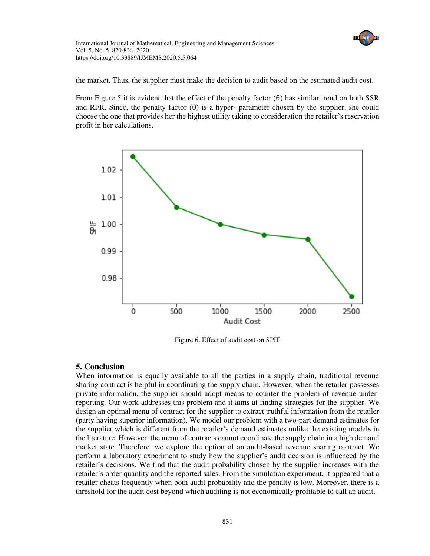

the market. Thus, the supplier must make the decision to audit based on the estimated audit cost.

From Figure 5 it is evident that the effect of the penalty factor  $(\theta)$  has similar trend on both SSR and RFR. Since, the penalty factor  $(\theta)$  is a hyper- parameter chosen by the supplier, she could choose the one that provides her the highest utility taking to consideration the retailer's reservation profit in her calculations.



Figure 6. Effect of audit cost on SPIF

## **5. Conclusion**

When information is equally available to all the parties in a supply chain, traditional revenue sharing contract is helpful in coordinating the supply chain. However, when the retailer possesses private information, the supplier should adopt means to counter the problem of revenue underreporting. Our work addresses this problem and it aims at finding strategies for the supplier. We design an optimal menu of contract for the supplier to extract truthful information from the retailer (party having superior information). We model our problem with a two-part demand estimates for the supplier which is different from the retailer's demand estimates unlike the existing models in the literature. However, the menu of contracts cannot coordinate the supply chain in a high demand market state. Therefore, we explore the option of an audit-based revenue sharing contract. We perform a laboratory experiment to study how the supplier's audit decision is influenced by the retailer's decisions. We find that the audit probability chosen by the supplier increases with the retailer's order quantity and the reported sales. From the simulation experiment, it appeared that a retailer cheats frequently when both audit probability and the penalty is low. Moreover, there is a threshold for the audit cost beyond which auditing is not economically profitable to call an audit.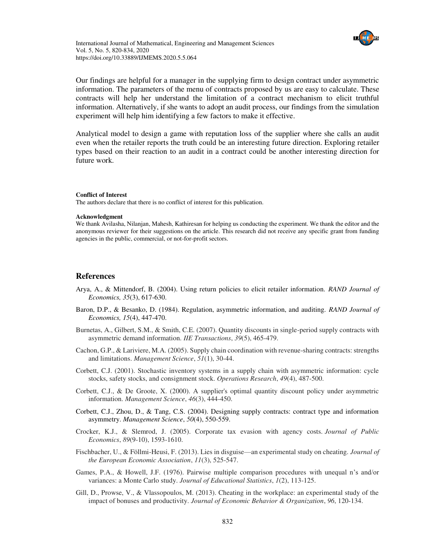

Our findings are helpful for a manager in the supplying firm to design contract under asymmetric information. The parameters of the menu of contracts proposed by us are easy to calculate. These contracts will help her understand the limitation of a contract mechanism to elicit truthful information. Alternatively, if she wants to adopt an audit process, our findings from the simulation experiment will help him identifying a few factors to make it effective.

Analytical model to design a game with reputation loss of the supplier where she calls an audit even when the retailer reports the truth could be an interesting future direction. Exploring retailer types based on their reaction to an audit in a contract could be another interesting direction for future work.

#### **Conflict of Interest**

The authors declare that there is no conflict of interest for this publication.

#### **Acknowledgment**

We thank Avilasha, Nilanjan, Mahesh, Kathiresan for helping us conducting the experiment. We thank the editor and the anonymous reviewer for their suggestions on the article. This research did not receive any specific grant from funding agencies in the public, commercial, or not-for-profit sectors.

#### **References**

- Arya, A., & Mittendorf, B. (2004). Using return policies to elicit retailer information. *RAND Journal of Economics, 35*(3), 617-630.
- Baron, D.P., & Besanko, D. (1984). Regulation, asymmetric information, and auditing. *RAND Journal of Economics, 15*(4), 447-470.
- Burnetas, A., Gilbert, S.M., & Smith, C.E. (2007). Quantity discounts in single-period supply contracts with asymmetric demand information. *IIE Transactions*, *39*(5), 465-479.
- Cachon, G.P., & Lariviere, M.A. (2005). Supply chain coordination with revenue-sharing contracts: strengths and limitations. *Management Science*, *51*(1), 30-44.
- Corbett, C.J. (2001). Stochastic inventory systems in a supply chain with asymmetric information: cycle stocks, safety stocks, and consignment stock. *Operations Research*, *49*(4), 487-500.
- Corbett, C.J., & De Groote, X. (2000). A supplier's optimal quantity discount policy under asymmetric information. *Management Science*, *46*(3), 444-450.
- Corbett, C.J., Zhou, D., & Tang, C.S. (2004). Designing supply contracts: contract type and information asymmetry. *Management Science*, *50*(4), 550-559.
- Crocker, K.J., & Slemrod, J. (2005). Corporate tax evasion with agency costs. *Journal of Public Economics*, *89*(9-10), 1593-1610.
- Fischbacher, U., & Föllmi-Heusi, F. (2013). Lies in disguise—an experimental study on cheating. *Journal of the European Economic Association*, *11*(3), 525-547.
- Games, P.A., & Howell, J.F. (1976). Pairwise multiple comparison procedures with unequal n's and/or variances: a Monte Carlo study. *Journal of Educational Statistics*, *1*(2), 113-125.
- Gill, D., Prowse, V., & Vlassopoulos, M. (2013). Cheating in the workplace: an experimental study of the impact of bonuses and productivity. *Journal of Economic Behavior & Organization*, *96*, 120-134.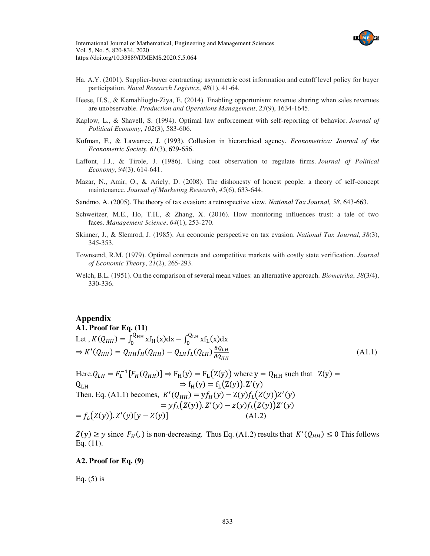

- Ha, A.Y. (2001). Supplier-buyer contracting: asymmetric cost information and cutoff level policy for buyer participation. *Naval Research Logistics*, *48*(1), 41-64.
- Heese, H.S., & Kemahlioglu-Ziya, E. (2014). Enabling opportunism: revenue sharing when sales revenues are unobservable. *Production and Operations Management*, *23*(9), 1634-1645.
- Kaplow, L., & Shavell, S. (1994). Optimal law enforcement with self-reporting of behavior. *Journal of Political Economy*, *102*(3), 583-606.
- Kofman, F., & Lawarree, J. (1993). Collusion in hierarchical agency. *Econometrica: Journal of the Econometric Society, 61*(3), 629-656.
- Laffont, J.J., & Tirole, J. (1986). Using cost observation to regulate firms. *Journal of Political Economy*, *94*(3), 614-641.
- Mazar, N., Amir, O., & Ariely, D. (2008). The dishonesty of honest people: a theory of self-concept maintenance. *Journal of Marketing Research*, *45*(6), 633-644.
- Sandmo, A. (2005). The theory of tax evasion: a retrospective view. *National Tax Journal, 58*, 643-663.
- Schweitzer, M.E., Ho, T.H., & Zhang, X. (2016). How monitoring influences trust: a tale of two faces. *Management Science*, *64*(1), 253-270.
- Skinner, J., & Slemrod, J. (1985). An economic perspective on tax evasion. *National Tax Journal*, *38*(3), 345-353.
- Townsend, R.M. (1979). Optimal contracts and competitive markets with costly state verification. *Journal of Economic Theory*, *21*(2), 265-293.
- Welch, B.L. (1951). On the comparison of several mean values: an alternative approach. *Biometrika*, *38*(3/4), 330-336.

#### **Appendix**

### **A1. Proof for Eq. (11)**

Let, 
$$
K(Q_{HH}) = \int_0^{Q_{HH}} x f_H(x) dx - \int_0^{Q_{LH}} x f_L(x) dx
$$
  
\n $\Rightarrow K'(Q_{HH}) = Q_{HH} f_H(Q_{HH}) - Q_{LH} f_L(Q_{LH}) \frac{\partial Q_{LH}}{\partial Q_{HH}}$  (A1.1)

Here,  $Q_{LH} = F_L^{-1}[F_H(Q_{HH})] \Rightarrow F_H(y) = F_L(Z(y))$  where  $y = Q_{HH}$  such that  $Z(y) =$  $Q_{LH} \Rightarrow f_H(y) = f_L(Z(y)). Z'(y)$ Then, Eq. (A1.1) becomes,  $K'(Q_{HH}) = yf_H(y) - Z(y)f_L(Z(y))Z'(y)$  $= y f_L(Z(y)) \cdot Z'(y) - z(y) f_L(Z(y)) Z'(y)$  $= f_L(Z(y)). Z'(y)[y - Z(y)]$  (A1.2)

 $Z(y) \ge y$  since  $F_H(.)$  is non-decreasing. Thus Eq. (A1.2) results that  $K'(Q_{HH}) \le 0$  This follows Eq. (11).

#### **A2. Proof for Eq. (9)**

Eq.  $(5)$  is